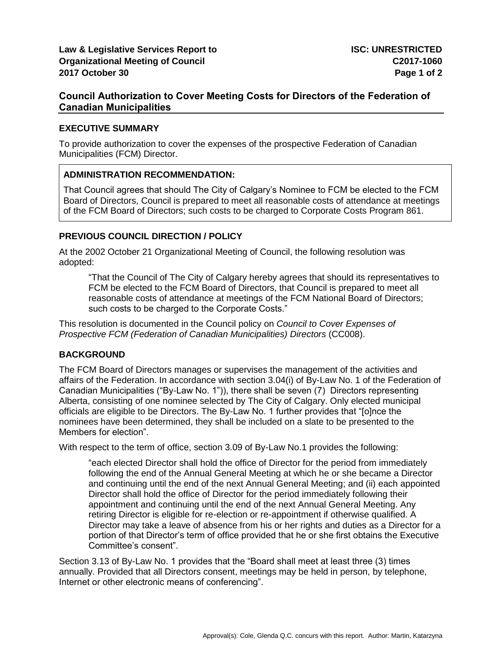# **Council Authorization to Cover Meeting Costs for Directors of the Federation of Canadian Municipalities**

### **EXECUTIVE SUMMARY**

To provide authorization to cover the expenses of the prospective Federation of Canadian Municipalities (FCM) Director.

## **ADMINISTRATION RECOMMENDATION:**

That Council agrees that should The City of Calgary's Nominee to FCM be elected to the FCM Board of Directors, Council is prepared to meet all reasonable costs of attendance at meetings of the FCM Board of Directors; such costs to be charged to Corporate Costs Program 861.

# **PREVIOUS COUNCIL DIRECTION / POLICY**

At the 2002 October 21 Organizational Meeting of Council, the following resolution was adopted:

"That the Council of The City of Calgary hereby agrees that should its representatives to FCM be elected to the FCM Board of Directors, that Council is prepared to meet all reasonable costs of attendance at meetings of the FCM National Board of Directors; such costs to be charged to the Corporate Costs."

This resolution is documented in the Council policy on *Council to Cover Expenses of Prospective FCM (Federation of Canadian Municipalities) Directors (CC008).* 

## **BACKGROUND**

The FCM Board of Directors manages or supervises the management of the activities and affairs of the Federation. In accordance with section 3.04(i) of By-Law No. 1 of the Federation of Canadian Municipalities ("By-Law No. 1")), there shall be seven (7) Directors representing Alberta, consisting of one nominee selected by The City of Calgary. Only elected municipal officials are eligible to be Directors. The By-Law No. 1 further provides that "[o]nce the nominees have been determined, they shall be included on a slate to be presented to the Members for election".

With respect to the term of office, section 3.09 of By-Law No.1 provides the following:

"each elected Director shall hold the office of Director for the period from immediately following the end of the Annual General Meeting at which he or she became a Director and continuing until the end of the next Annual General Meeting; and (ii) each appointed Director shall hold the office of Director for the period immediately following their appointment and continuing until the end of the next Annual General Meeting. Any retiring Director is eligible for re-election or re-appointment if otherwise qualified. A Director may take a leave of absence from his or her rights and duties as a Director for a portion of that Director's term of office provided that he or she first obtains the Executive Committee's consent".

Section 3.13 of By-Law No. 1 provides that the "Board shall meet at least three (3) times annually. Provided that all Directors consent, meetings may be held in person, by telephone, Internet or other electronic means of conferencing".